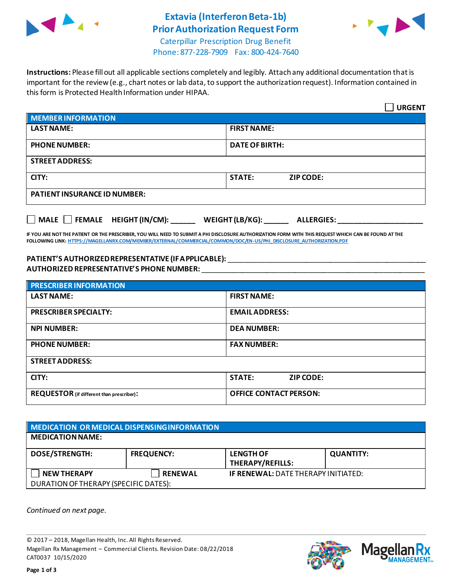

# **Extavia (Interferon Beta-1b) Prior Authorization Request Form**



Caterpillar Prescription Drug Benefit Phone: 877-228-7909 Fax: 800-424-7640

**Instructions:** Please fill out all applicable sections completely and legibly. Attach any additional documentation that is important for the review (e.g., chart notes or lab data, to support the authorization request). Information contained in this form is Protected Health Information under HIPAA.

|                                                                                   | <b>URGENT</b>                     |  |  |
|-----------------------------------------------------------------------------------|-----------------------------------|--|--|
| <b>MEMBER INFORMATION</b>                                                         |                                   |  |  |
| <b>LAST NAME:</b>                                                                 | <b>FIRST NAME:</b>                |  |  |
| <b>PHONE NUMBER:</b>                                                              | <b>DATE OF BIRTH:</b>             |  |  |
| <b>STREET ADDRESS:</b>                                                            |                                   |  |  |
| CITY:                                                                             | <b>STATE:</b><br><b>ZIP CODE:</b> |  |  |
| <b>PATIENT INSURANCE ID NUMBER:</b>                                               |                                   |  |  |
| $\Box$ MALE $\Box$ FEMALE HEIGHT (IN/CM):<br>WEIGHT (LB/KG):<br><b>ALLERGIES:</b> |                                   |  |  |

**IF YOU ARE NOT THE PATIENT OR THE PRESCRIBER, YOU WILL NEED TO SUBMIT A PHI DISCLOSURE AUTHORIZATION FORM WITH THIS REQUEST WHICH CAN BE FOUND AT THE FOLLOWING LINK[: HTTPS://MAGELLANRX.COM/MEMBER/EXTERNAL/COMMERCIAL/COMMON/DOC/EN-US/PHI\\_DISCLOSURE\\_AUTHORIZATION.PDF](https://magellanrx.com/member/external/commercial/common/doc/en-us/PHI_Disclosure_Authorization.pdf)**

#### **PATIENT'S AUTHORIZED REPRESENTATIVE (IF APPLICABLE):** \_\_\_\_\_\_\_\_\_\_\_\_\_\_\_\_\_\_\_\_\_\_\_\_\_\_\_\_\_\_\_\_\_\_\_\_\_\_\_\_\_\_\_\_\_\_\_\_\_ **AUTHORIZED REPRESENTATIVE'S PHONE NUMBER:** \_\_\_\_\_\_\_\_\_\_\_\_\_\_\_\_\_\_\_\_\_\_\_\_\_\_\_\_\_\_\_\_\_\_\_\_\_\_\_\_\_\_\_\_\_\_\_\_\_\_\_\_\_\_\_

| <b>PRESCRIBER INFORMATION</b>             |                               |  |  |
|-------------------------------------------|-------------------------------|--|--|
| <b>LAST NAME:</b>                         | <b>FIRST NAME:</b>            |  |  |
| <b>PRESCRIBER SPECIALTY:</b>              | <b>EMAIL ADDRESS:</b>         |  |  |
| <b>NPI NUMBER:</b>                        | <b>DEA NUMBER:</b>            |  |  |
| <b>PHONE NUMBER:</b>                      | <b>FAX NUMBER:</b>            |  |  |
| <b>STREET ADDRESS:</b>                    |                               |  |  |
| CITY:                                     | <b>STATE:</b><br>ZIP CODE:    |  |  |
| REQUESTOR (if different than prescriber): | <b>OFFICE CONTACT PERSON:</b> |  |  |

| MEDICATION OR MEDICAL DISPENSING INFORMATION |                   |                                             |                  |  |  |
|----------------------------------------------|-------------------|---------------------------------------------|------------------|--|--|
| <b>MEDICATION NAME:</b>                      |                   |                                             |                  |  |  |
| <b>DOSE/STRENGTH:</b>                        | <b>FREQUENCY:</b> | <b>LENGTH OF</b><br><b>THERAPY/REFILLS:</b> | <b>QUANTITY:</b> |  |  |
| <b>NEW THERAPY</b>                           | <b>RENEWAL</b>    | <b>IF RENEWAL: DATE THERAPY INITIATED:</b>  |                  |  |  |
| DURATION OF THERAPY (SPECIFIC DATES):        |                   |                                             |                  |  |  |

*Continued on next page.*

© 2017 – 2018, Magellan Health, Inc. All Rights Reserved. Magellan Rx Management – Commercial Clients. Revision Date: 08/22/2018 CAT0037 10/15/2020



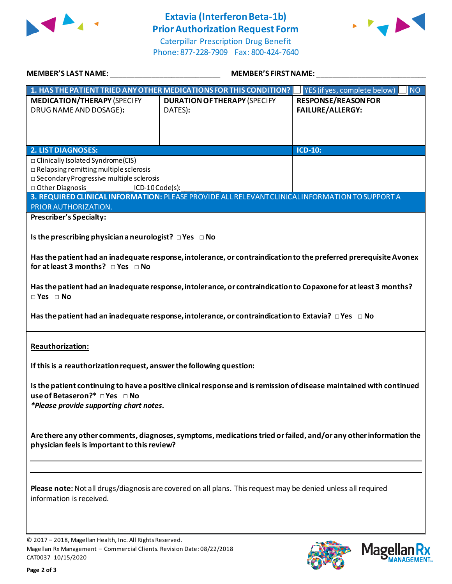

## **Extavia (Interferon Beta-1b) Prior Authorization Request Form**

Caterpillar Prescription Drug Benefit Phone: 877-228-7909 Fax: 800-424-7640



| MEMBER'S LAST NAME: NAME AND A SERIES AND A SERIES OF STREET AND RESIDENCE AND A SERIES OF STREET AND A SERIES                                                                                   | <b>MEMBER'S FIRST NAME:</b>                                                                                       |                                                                  |  |  |
|--------------------------------------------------------------------------------------------------------------------------------------------------------------------------------------------------|-------------------------------------------------------------------------------------------------------------------|------------------------------------------------------------------|--|--|
|                                                                                                                                                                                                  | 1. HAS THE PATIENT TRIED ANY OTHER MEDICATIONS FOR THIS CONDITION?                                                | $\blacksquare$ YES (if yes, complete below)<br>$\blacksquare$ NO |  |  |
| <b>MEDICATION/THERAPY (SPECIFY</b>                                                                                                                                                               | <b>DURATION OF THERAPY (SPECIFY</b>                                                                               | <b>RESPONSE/REASON FOR</b>                                       |  |  |
| DRUG NAME AND DOSAGE):                                                                                                                                                                           | DATES):                                                                                                           | <b>FAILURE/ALLERGY:</b>                                          |  |  |
|                                                                                                                                                                                                  |                                                                                                                   |                                                                  |  |  |
|                                                                                                                                                                                                  |                                                                                                                   |                                                                  |  |  |
| <b>2. LIST DIAGNOSES:</b>                                                                                                                                                                        |                                                                                                                   | <b>ICD-10:</b>                                                   |  |  |
| □ Clinically Isolated Syndrome(CIS)                                                                                                                                                              |                                                                                                                   |                                                                  |  |  |
| $\Box$ Relapsing remitting multiple sclerosis                                                                                                                                                    |                                                                                                                   |                                                                  |  |  |
| □ Secondary Progressive multiple sclerosis                                                                                                                                                       |                                                                                                                   |                                                                  |  |  |
| D Other Diagnosis<br>$ICD-10Code(s):$                                                                                                                                                            | 3. REQUIRED CLINICAL INFORMATION: PLEASE PROVIDE ALL RELEVANT CLINICAL INFORMATION TO SUPPORT A                   |                                                                  |  |  |
| PRIOR AUTHORIZATION.                                                                                                                                                                             |                                                                                                                   |                                                                  |  |  |
| <b>Prescriber's Specialty:</b>                                                                                                                                                                   |                                                                                                                   |                                                                  |  |  |
|                                                                                                                                                                                                  |                                                                                                                   |                                                                  |  |  |
| Is the prescribing physician a neurologist? $\Box$ Yes $\Box$ No                                                                                                                                 |                                                                                                                   |                                                                  |  |  |
|                                                                                                                                                                                                  |                                                                                                                   |                                                                  |  |  |
|                                                                                                                                                                                                  | Has the patient had an inadequate response, intolerance, or contraindication to the preferred prerequisite Avonex |                                                                  |  |  |
| for at least 3 months? $\Box$ Yes $\Box$ No                                                                                                                                                      |                                                                                                                   |                                                                  |  |  |
|                                                                                                                                                                                                  |                                                                                                                   |                                                                  |  |  |
|                                                                                                                                                                                                  | Has the patient had an inadequate response, intolerance, or contraindication to Copaxone for at least 3 months?   |                                                                  |  |  |
| $\Box$ Yes $\Box$ No                                                                                                                                                                             |                                                                                                                   |                                                                  |  |  |
| Has the patient had an inadequate response, intolerance, or contraindication to Extavia? $\Box$ Yes $\Box$ No                                                                                    |                                                                                                                   |                                                                  |  |  |
| Reauthorization:                                                                                                                                                                                 |                                                                                                                   |                                                                  |  |  |
|                                                                                                                                                                                                  |                                                                                                                   |                                                                  |  |  |
| If this is a reauthorization request, answer the following question:                                                                                                                             |                                                                                                                   |                                                                  |  |  |
| Is the patient continuing to have a positive clinical response and is remission of disease maintained with continued<br>use of Betaseron?* □ Yes □ No<br>*Please provide supporting chart notes. |                                                                                                                   |                                                                  |  |  |
| Are there any other comments, diagnoses, symptoms, medications tried or failed, and/or any other information the<br>physician feels is important to this review?                                 |                                                                                                                   |                                                                  |  |  |
|                                                                                                                                                                                                  |                                                                                                                   |                                                                  |  |  |
| Please note: Not all drugs/diagnosis are covered on all plans. This request may be denied unless all required<br>information is received.                                                        |                                                                                                                   |                                                                  |  |  |
|                                                                                                                                                                                                  |                                                                                                                   |                                                                  |  |  |
|                                                                                                                                                                                                  |                                                                                                                   |                                                                  |  |  |
| © 2017 - 2018, Magellan Health, Inc. All Rights Reserved.                                                                                                                                        |                                                                                                                   |                                                                  |  |  |

2018, Magellan Health, Inc. All Rights Rese Magellan Rx Management – Commercial Clients. Revision Date: 08/22/2018 CAT0037 10/15/2020